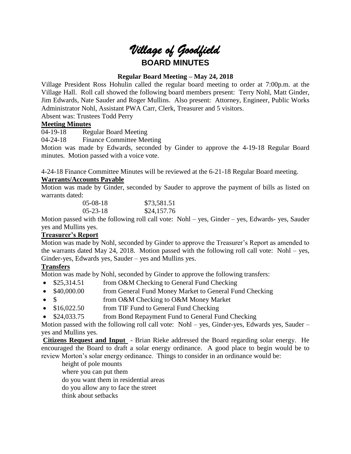

# **Regular Board Meeting – May 24, 2018**

Village President Ross Hohulin called the regular board meeting to order at 7:00p.m. at the Village Hall. Roll call showed the following board members present: Terry Nohl, Matt Ginder, Jim Edwards, Nate Sauder and Roger Mullins. Also present: Attorney, Engineer, Public Works Administrator Nohl, Assistant PWA Carr, Clerk, Treasurer and 5 visitors.

Absent was: Trustees Todd Perry

# **Meeting Minutes**

04-19-18 Regular Board Meeting

04-24-18 Finance Committee Meeting

Motion was made by Edwards, seconded by Ginder to approve the 4-19-18 Regular Board minutes. Motion passed with a voice vote.

4-24-18 Finance Committee Minutes will be reviewed at the 6-21-18 Regular Board meeting.

# **Warrants/Accounts Payable**

Motion was made by Ginder, seconded by Sauder to approve the payment of bills as listed on warrants dated:

| $05-08-18$     | \$73,581.51 |
|----------------|-------------|
| $05 - 23 - 18$ | \$24,157.76 |

Motion passed with the following roll call vote: Nohl – yes, Ginder – yes, Edwards- yes, Sauder yes and Mullins yes.

# **Treasurer's Report**

Motion was made by Nohl, seconded by Ginder to approve the Treasurer's Report as amended to the warrants dated May 24, 2018. Motion passed with the following roll call vote: Nohl – yes, Ginder-yes, Edwards yes, Sauder – yes and Mullins yes.

# **Transfers**

Motion was made by Nohl, seconded by Ginder to approve the following transfers:

- \$25,314.51 from O&M Checking to General Fund Checking
- \$40,000.00 from General Fund Money Market to General Fund Checking
- \$ from O&M Checking to O&M Money Market
- \$16,022.50 from TIF Fund to General Fund Checking
- \$24,033.75 from Bond Repayment Fund to General Fund Checking

Motion passed with the following roll call vote: Nohl – yes, Ginder-yes, Edwards yes, Sauder – yes and Mullins yes.

**Citizens Request and Input** - Brian Rieke addressed the Board regarding solar energy. He encouraged the Board to draft a solar energy ordinance. A good place to begin would be to review Morton's solar energy ordinance. Things to consider in an ordinance would be:

height of pole mounts where you can put them

do you want them in residential areas

do you allow any to face the street

think about setbacks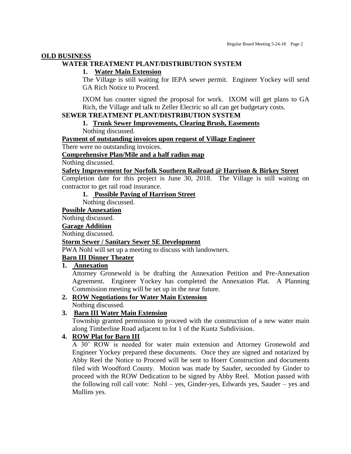#### **OLD BUSINESS**

# **WATER TREATMENT PLANT/DISTRIBUTION SYSTEM**

#### **1. Water Main Extension**

The Village is still waiting for IEPA sewer permit. Engineer Yockey will send GA Rich Notice to Proceed.

IXOM has counter signed the proposal for work. IXOM will get plans to GA Rich, the Village and talk to Zeller Electric so all can get budgetary costs.

# **SEWER TREATMENT PLANT/DISTRIBUTION SYSTEM**

# **1. Trunk Sewer Improvements, Clearing Brush, Easements**

Nothing discussed.

#### **Payment of outstanding invoices upon request of Village Engineer**

There were no outstanding invoices.

# **Comprehensive Plan/Mile and a half radius map**

Nothing discussed.

### **Safety Improvement for Norfolk Southern Railroad @ Harrison & Birkey Street**

Completion date for this project is June 30, 2018. The Village is still waiting on contractor to get rail road insurance.

# **1. Possible Paving of Harrison Street**

Nothing discussed.

#### **Possible Annexation**

Nothing discussed.

#### **Garage Addition**

Nothing discussed.

#### **Storm Sewer / Sanitary Sewer SE Development**

PWA Nohl will set up a meeting to discuss with landowners.

# **Barn III Dinner Theater**

# **1. Annexation**

Attorney Gronewold is be drafting the Annexation Petition and Pre-Annexation Agreement. Engineer Yockey has completed the Annexation Plat. A Planning Commission meeting will be set up in the near future.

### **2. ROW Negotiations for Water Main Extension** Nothing discussed.

#### **3. Barn III Water Main Extension**

Township granted permission to proceed with the construction of a new water main along Timberline Road adjacent to lot 1 of the Kuntz Subdivision.

# **4. ROW Plat for Barn III**

A 30' ROW is needed for water main extension and Attorney Gronewold and Engineer Yockey prepared these documents. Once they are signed and notarized by Abby Reel the Notice to Proceed will be sent to Hoerr Construction and documents filed with Woodford County. Motion was made by Sauder, seconded by Ginder to proceed with the ROW Dedication to be signed by Abby Reel. Motion passed with the following roll call vote: Nohl – yes, Ginder-yes, Edwards yes, Sauder – yes and Mullins yes.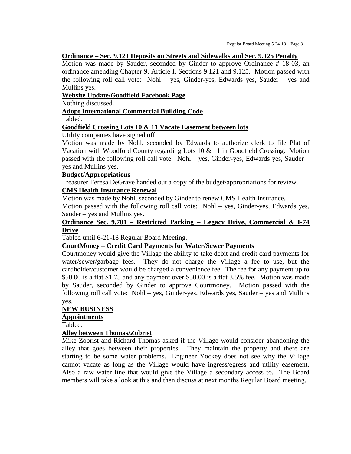#### **Ordinance – Sec. 9.121 Deposits on Streets and Sidewalks and Sec. 9.125 Penalty**

Motion was made by Sauder, seconded by Ginder to approve Ordinance # 18-03, an ordinance amending Chapter 9. Article I, Sections 9.121 and 9.125. Motion passed with the following roll call vote: Nohl – yes, Ginder-yes, Edwards yes, Sauder – yes and Mullins yes.

### **Website Update/Goodfield Facebook Page**

Nothing discussed.

# **Adopt International Commercial Building Code**

Tabled.

### **Goodfield Crossing Lots 10 & 11 Vacate Easement between lots**

Utility companies have signed off.

Motion was made by Nohl, seconded by Edwards to authorize clerk to file Plat of Vacation with Woodford County regarding Lots 10 & 11 in Goodfield Crossing. Motion passed with the following roll call vote: Nohl – yes, Ginder-yes, Edwards yes, Sauder – yes and Mullins yes.

#### **Budget/Appropriations**

Treasurer Teresa DeGrave handed out a copy of the budget/appropriations for review.

# **CMS Health Insurance Renewal**

Motion was made by Nohl, seconded by Ginder to renew CMS Health Insurance.

Motion passed with the following roll call vote: Nohl – yes, Ginder-yes, Edwards yes, Sauder – yes and Mullins yes.

# **Ordinance Sec. 9.701 – Restricted Parking – Legacy Drive, Commercial & I-74 Drive**

Tabled until 6-21-18 Regular Board Meeting.

# **CourtMoney – Credit Card Payments for Water/Sewer Payments**

Courtmoney would give the Village the ability to take debit and credit card payments for water/sewer/garbage fees. They do not charge the Village a fee to use, but the cardholder/customer would be charged a convenience fee. The fee for any payment up to \$50.00 is a flat \$1.75 and any payment over \$50.00 is a flat 3.5% fee. Motion was made by Sauder, seconded by Ginder to approve Courtmoney. Motion passed with the following roll call vote: Nohl – yes, Ginder-yes, Edwards yes, Sauder – yes and Mullins yes.

# **NEW BUSINESS**

# **Appointments**

Tabled.

# **Alley between Thomas/Zobrist**

Mike Zobrist and Richard Thomas asked if the Village would consider abandoning the alley that goes between their properties. They maintain the property and there are starting to be some water problems. Engineer Yockey does not see why the Village cannot vacate as long as the Village would have ingress/egress and utility easement. Also a raw water line that would give the Village a secondary access to. The Board members will take a look at this and then discuss at next months Regular Board meeting.